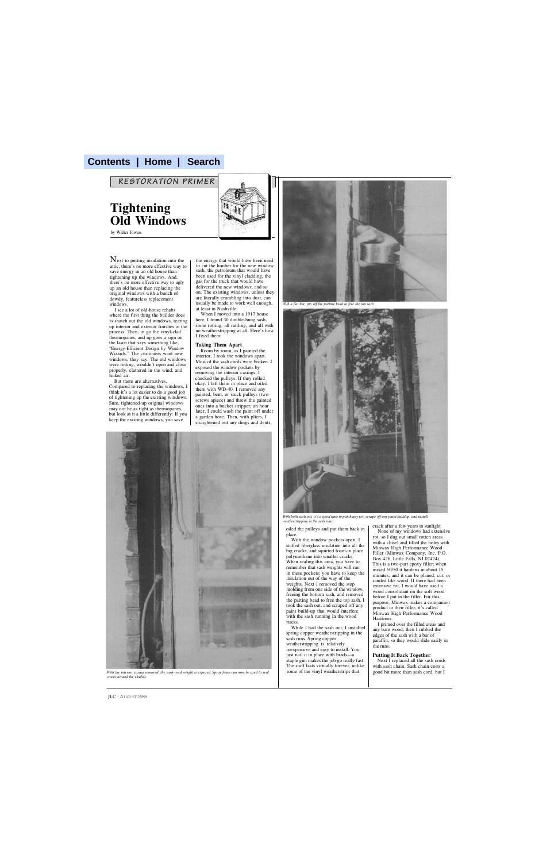## **Contents | Home | Search**

*RESTORATION PRIMER*

**Tightening Old Windows**

by Walter Jowers

 $N$  ext to putting insulation into the attic, there's no more effective way to save energy in an old house than tightening up the windows. And, there's no more effective way to ugly up an old house than replacing the original windows with a bunch of dowdy, featureless replacement windows.

I see a lot of old-house rehabs where the first thing the builder does is snatch out the old windows, tearing up interior and exterior finishes in the process. Then, in go the vinyl-clad thermopanes, and up goes a sign on the lawn that says something like, "Energy-Efficient Design by Window Wizards." The customers want new windows, they say. The old windows were rotting, wouldn't open and close properly, clattered in the wind, and leaked air.

But there are alternatives. Compared to replacing the windows, I think it's a lot easier to do a good job of tightening up the existing windows. Sure, tightened-up original windows may not be as tight as thermopanes, but look at it a little differently: If you keep the existing windows, you save



the energy that would have been used to cut the lumber for the new window sash, the petroleum that would have been used for the vinyl cladding, the gas for the truck that would have delivered the new windows, and so on. The existing windows, unless they are literally crumbling into dust, can usually be made to work well enough, at least in Nashville.

When I moved into a 1917 house here, I found 30 double-hung sash, some rotting, all rattling, and all with no weatherstripping at all. Here's how I fixed them:

## **Taking Them Apart**

Room by room, as I painted the interior, I took the windows apart. Most of the sash cords were broken. I exposed the window pockets by removing the interior casings. I checked the pulleys. If they rolled okay, I left them in place and oiled them with WD-40. I removed any painted, bent, or stuck pulleys (two screws apiece) and threw the painted ones into a bucket stripper; an hour later, I could wash the paint off under a garden hose. Then, with pliers, I straightened out any dings and dents,



*With the interior casing removed, the sash-cord weight is exposed. Spray foam can now be used to seal cracks around the window.*



*With a flat bar, pry off the parting bead to free the top sash.*



*With both sash out, it's a good time to patch any rot, scrape off any paint buildup, and install weatherstripping in the sash runs.*

oiled the pulleys and put them back in place.

With the window pockets open, I stuffed fiberglass insulation into all the big cracks, and squirted foam-in place polyurethane into smaller cracks. When sealing this area, you have to remember that sash weights will run in these pockets; you have to keep the insulation out of the way of the weights. Next I removed the stop molding from one side of the window, freeing the bottom sash, and removed the parting bead to free the top sash. I took the sash out, and scraped off any paint build-up that would interfere with the sash running in the wood tracks.

While I had the sash out, I installed spring copper weatherstripping in the sash runs. Spring copper weatherstripping is relatively inexpensive and easy to install. You just nail it in place with brads—a staple gun makes the job go really fast. The stuff lasts virtually forever, unlike some of the vinyl weatherstrips that

crack after a few years in sunlight.

None of my windows had extensive rot, so I dug out small rotten areas with a chisel and filled the holes with Minwax High Performance Wood Filler (Minwax Company, Inc. P.O. Box 426, Little Falls, NJ 07424). This is a two-part epoxy filler; when mixed 50/50 it hardens in about 15 minutes, and it can be planed, cut, or sanded like wood. If there had been extensive rot, I would have used a wood consolidant on the soft wood before I put in the filler. For this purpose, Minwax makes a companion product to their filler; it's called Minwax High Performance Wood Hardener.

I primed over the filled areas and any bare wood; then I rubbed the edges of the sash with a bar of paraffin, so they would slide easily in the runs.

## **Putting It Back Together**

Next I replaced all the sash cords with sash chain. Sash chain costs a good bit more than sash cord, but I